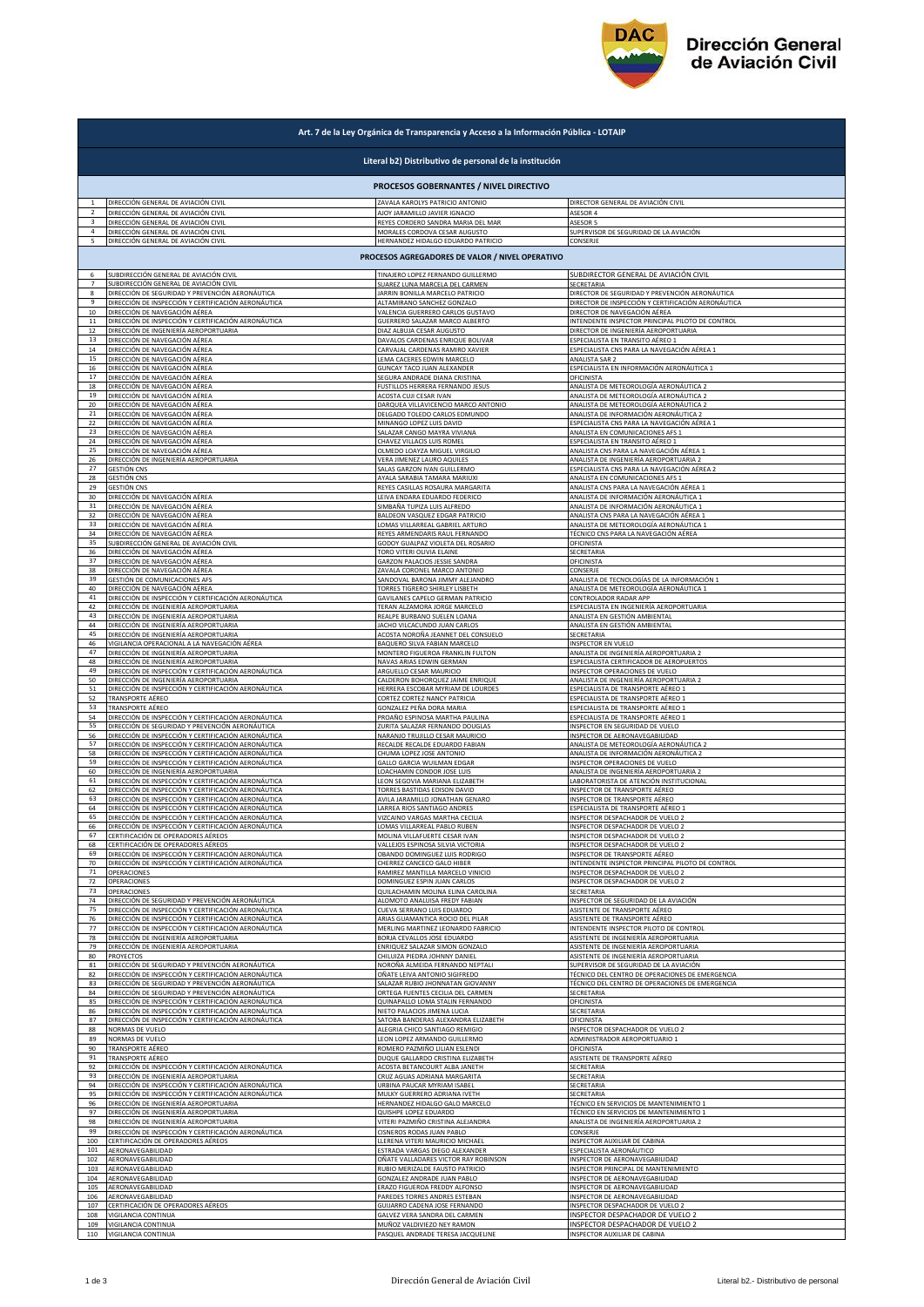

| Art. 7 de la Ley Orgánica de Transparencia y Acceso a la Información Pública - LOTAIP |                                                     |                                       |                                                    |  |  |  |  |
|---------------------------------------------------------------------------------------|-----------------------------------------------------|---------------------------------------|----------------------------------------------------|--|--|--|--|
| Literal b2) Distributivo de personal de la institución                                |                                                     |                                       |                                                    |  |  |  |  |
| PROCESOS GOBERNANTES / NIVEL DIRECTIVO                                                |                                                     |                                       |                                                    |  |  |  |  |
| $1\,$                                                                                 | DIRECCIÓN GENERAL DE AVIACIÓN CIVIL                 | ZAVALA KAROLYS PATRICIO ANTONIO       | DIRECTOR GENERAL DE AVIACIÓN CIVIL                 |  |  |  |  |
| 2                                                                                     | DIRECCIÓN GENERAL DE AVIACIÓN CIVIL                 | AJOY JARAMILLO JAVIER IGNACIO         | ASESOR 4                                           |  |  |  |  |
| $\overline{\mathbf{3}}$                                                               | DIRECCIÓN GENERAL DE AVIACIÓN CIVIL                 | REYES CORDERO SANDRA MARIA DEL MAR    | ASESOR 5                                           |  |  |  |  |
| $\overline{4}$                                                                        | DIRECCIÓN GENERAL DE AVIACIÓN CIVIL                 | MORALES CORDOVA CESAR AUGUSTO         | SUPERVISOR DE SEGURIDAD DE LA AVIACIÓN             |  |  |  |  |
| 5                                                                                     | DIRECCIÓN GENERAL DE AVIACIÓN CIVIL                 | HERNANDEZ HIDALGO EDUARDO PATRICIO    | CONSERJE                                           |  |  |  |  |
|                                                                                       | PROCESOS AGREGADORES DE VALOR / NIVEL OPERATIVO     |                                       |                                                    |  |  |  |  |
| 6<br>$\overline{7}$                                                                   | SUBDIRECCIÓN GENERAL DE AVIACIÓN CIVIL              | TINAJERO LOPEZ FERNANDO GUILLERMO     | SUBDIRECTOR GENERAL DE AVIACIÓN CIVIL              |  |  |  |  |
| 8                                                                                     | SUBDIRECCIÓN GENERAL DE AVIACIÓN CIVIL              | SUAREZ LUNA MARCELA DEL CARMEN        | <b>SECRETARIA</b>                                  |  |  |  |  |
|                                                                                       | DIRECCIÓN DE SEGURIDAD Y PREVENCIÓN AERONÁUTICA     | JARRIN BONILLA MARCELO PATRICIO       | DIRECTOR DE SEGURIDAD Y PREVENCIÓN AERONÁUTICA     |  |  |  |  |
| $\mathbf{q}$                                                                          | DIRECCIÓN DE INSPECCIÓN Y CERTIFICACIÓN AERONÁUTICA | ALTAMIRANO SANCHEZ GONZALO            | DIRECTOR DE INSPECCIÓN Y CERTIFICACIÓN AERONÁUTICA |  |  |  |  |
| 10                                                                                    | DIRECCIÓN DE NAVEGACIÓN AÉREA                       | VALENCIA GUERRERO CARLOS GUSTAVO      | DIRECTOR DE NAVEGACIÓN AÉREA                       |  |  |  |  |
| 11                                                                                    | DIRECCIÓN DE INSPECCIÓN Y CERTIFICACIÓN AERONÁUTICA | GUERRERO SALAZAR MARCO ALBERTO        | INTENDENTE INSPECTOR PRINCIPAL PILOTO DE CONTROL   |  |  |  |  |
| 12                                                                                    | DIRECCIÓN DE INGENIERÍA AEROPORTUARIA               | DIAZ ALBUJA CESAR AUGUSTO             | DIRECTOR DE INGENIERÍA AEROPORTUARIA               |  |  |  |  |
| 13                                                                                    | DIRECCIÓN DE NAVEGACIÓN AÉREA                       | DAVALOS CARDENAS ENRIQUE BOLIVAR      | ESPECIALISTA EN TRANSITO AÉREO 1                   |  |  |  |  |
| 14                                                                                    | DIRECCIÓN DE NAVEGACIÓN AÉREA                       | CARVAJAL CARDENAS RAMIRO XAVIER       | ESPECIALISTA CNS PARA LA NAVEGACIÓN AÉREA 1        |  |  |  |  |
| 15                                                                                    | DIRECCIÓN DE NAVEGACIÓN AÉREA                       | LEMA CACERES EDWIN MARCELO            | ANALISTA SAR 2                                     |  |  |  |  |
| 16                                                                                    | DIRECCIÓN DE NAVEGACIÓN AÉREA                       | GUNCAY TACO JUAN ALEXANDER            | ESPECIALISTA EN INFORMACIÓN AERONÁUTICA 1          |  |  |  |  |
| 17                                                                                    | DIRECCIÓN DE NAVEGACIÓN AÉREA                       | SEGURA ANDRADE DIANA CRISTINA         | OFICINISTA                                         |  |  |  |  |
| 18                                                                                    | DIRECCIÓN DE NAVEGACIÓN AÉREA                       | FUSTILLOS HERRERA FERNANDO JESUS      | ANALISTA DE METEOROLOGÍA AERONÁUTICA 2             |  |  |  |  |
| 19                                                                                    | DIRECCIÓN DE NAVEGACIÓN AÉREA                       | ACOSTA CUJI CESAR IVAN                | ANALISTA DE METEOROLOGÍA AERONÁUTICA 2             |  |  |  |  |
| 20                                                                                    | DIRECCIÓN DE NAVEGACIÓN AÉREA                       | DARQUEA VILLAVICENCIO MARCO ANTONIO   | ANALISTA DE METEOROLOGÍA AERONÁUTICA 2             |  |  |  |  |
| 21                                                                                    | DIRECCIÓN DE NAVEGACIÓN AÉREA                       | DELGADO TOLEDO CARLOS EDMUNDO         | ANALISTA DE INFORMACIÓN AERONÁUTICA 2              |  |  |  |  |
| 22                                                                                    | DIRECCIÓN DE NAVEGACIÓN AÉREA                       | MINANGO LOPEZ LUIS DAVID              | ESPECIALISTA CNS PARA LA NAVEGACIÓN AÉREA 1        |  |  |  |  |
| 23                                                                                    | DIRECCIÓN DE NAVEGACIÓN AÉREA                       | SALAZAR CANGO MAYRA VIVIANA           | ANALISTA EN COMUNICACIONES AFS 1                   |  |  |  |  |
| 24                                                                                    | DIRECCIÓN DE NAVEGACIÓN AÉREA                       | CHAVEZ VILLACIS LUIS ROMEL            | ESPECIALISTA EN TRANSITO AÉREO 1                   |  |  |  |  |
| 25                                                                                    | DIRECCIÓN DE NAVEGACIÓN AÉREA                       | OLMEDO LOAYZA MIGUEL VIRGILIO         | ANALISTA CNS PARA LA NAVEGACIÓN AÉREA 1            |  |  |  |  |
| 26                                                                                    | DIRECCIÓN DE INGENIERÍA AEROPORTUARIA               | VERA JIMENEZ LAURO AQUILES            | ANALISTA DE INGENIERÍA AEROPORTUARIA 2             |  |  |  |  |
| 27                                                                                    | GESTIÓN CNS                                         | SALAS GARZON IVAN GUILLERMO           | ESPECIALISTA CNS PARA LA NAVEGACIÓN AÉREA 2        |  |  |  |  |
| 28                                                                                    | <b>GESTIÓN CNS</b>                                  | AYALA SARABIA TAMARA MARIUXI          | ANALISTA EN COMUNICACIONES AFS 1                   |  |  |  |  |
| 29                                                                                    | <b>GESTIÓN CNS</b>                                  | REYES CASILLAS ROSAURA MARGARITA      | ANALISTA CNS PARA LA NAVEGACIÓN AÉREA 1            |  |  |  |  |
| 30                                                                                    | DIRECCIÓN DE NAVEGACIÓN AÉREA                       | LEIVA ENDARA EDUARDO FEDERICO         | ANALISTA DE INFORMACIÓN AERONÁUTICA 1              |  |  |  |  |
| 31                                                                                    | DIRECCIÓN DE NAVEGACIÓN AÉREA                       | SIMBAÑA TUPIZA LUIS ALFREDO           | ANALISTA DE INFORMACIÓN AERONÁUTICA 1              |  |  |  |  |
| 32                                                                                    | DIRECCIÓN DE NAVEGACIÓN AÉREA                       | BALDEON VASQUEZ EDGAR PATRICIO        | ANALISTA CNS PARA LA NAVEGACIÓN AÉREA 1            |  |  |  |  |
| 33                                                                                    | DIRECCIÓN DE NAVEGACIÓN AÉREA                       | LOMAS VILLARREAL GABRIEL ARTURO       | ANALISTA DE METEOROLOGÍA AERONÁUTICA 1             |  |  |  |  |
| 34                                                                                    | DIRECCIÓN DE NAVEGACIÓN AÉREA                       | REYES ARMENDARIS RAUL FERNANDO        | TÉCNICO CNS PARA LA NAVEGACIÓN AÉREA               |  |  |  |  |
| 35                                                                                    | SUBDIRECCIÓN GENERAL DE AVIACIÓN CIVIL              | GODOY GUALPAZ VIOLETA DEL ROSARIO     | OFICINISTA                                         |  |  |  |  |
| 36                                                                                    | DIRECCIÓN DE NAVEGACIÓN AÉREA                       | TORO VITERI OLIVIA ELAINE             | SECRETARIA                                         |  |  |  |  |
| 37                                                                                    | DIRECCIÓN DE NAVEGACIÓN AÉREA                       | GARZON PALACIOS JESSIE SANDRA         | OFICINISTA                                         |  |  |  |  |
| 38                                                                                    | DIRECCIÓN DE NAVEGACIÓN AÉREA                       | ZAVALA CORONEL MARCO ANTONIO          | CONSERJE                                           |  |  |  |  |
| 39                                                                                    | GESTIÓN DE COMUNICACIONES AFS                       | SANDOVAL BARONA JIMMY ALEJANDRO       | ANALISTA DE TECNOLOGÍAS DE LA INFORMACIÓN 1        |  |  |  |  |
| 40                                                                                    | DIRECCIÓN DE NAVEGACIÓN AÉREA                       | <b>TORRES TIGRERO SHIRLEY LISBETH</b> | ANALISTA DE METEOROLOGÍA AERONÁUTICA 1             |  |  |  |  |
| 41                                                                                    | DIRECCIÓN DE INSPECCIÓN Y CERTIFICACIÓN AERONÁUTICA | GAVILANES CAPELO GERMAN PATRICIO      | CONTROLADOR RADAR APP                              |  |  |  |  |
| 42                                                                                    | DIRECCIÓN DE INGENIERÍA AEROPORTUARIA               | TERAN ALZAMORA JORGE MARCELO          | ESPECIALISTA EN INGENIERÍA AEROPORTUARIA           |  |  |  |  |
| 43                                                                                    | DIRECCIÓN DE INGENIERÍA AEROPORTUARIA               | REALPE BURBANO SUELEN LOANA           | ANALISTA EN GESTIÓN AMBIENTAL                      |  |  |  |  |
| 44                                                                                    | <u>DIRECCIÓN DE INGENIERÍA AEROPORTUARIA</u>        | JACHO VILCACUNDO JUAN CARLOS          | ANALISTA EN GESTIÓN AMBIENTAL                      |  |  |  |  |
| 45                                                                                    | DIRECCIÓN DE INGENIERÍA AEROPORTUARIA               | ACOSTA NOROÑA JEANNET DEL CONSUELO    | SECRETARIA                                         |  |  |  |  |
| 46                                                                                    | VIGILANCIA OPERACIONAL A LA NAVEGACIÓN AÉREA        | BAQUERO SILVA FABIAN MARCELO          | INSPECTOR EN VUELO                                 |  |  |  |  |
| 47                                                                                    | DIRECCIÓN DE INGENIERÍA AEROPORTUARIA               | MONTERO FIGUEROA FRANKLIN FULTON      | ANALISTA DE INGENIERÍA AEROPORTUARIA 2             |  |  |  |  |
| 48                                                                                    | DIRECCIÓN DE INGENIERÍA AEROPORTUARIA               | NAVAS ARIAS EDWIN GERMAN              | ESPECIALISTA CERTIFICADOR DE AEROPUERTOS           |  |  |  |  |
| 49                                                                                    | DIRECCIÓN DE INSPECCIÓN Y CERTIFICACIÓN AERONÁUTICA | ARGUELLO CESAR MAURICIO               | <b>INSPECTOR OPERACIONES DE VUELO</b>              |  |  |  |  |
| 50                                                                                    | DIRECCIÓN DE INGENIERÍA AEROPORTUARIA               | CALDERON BOHORQUEZ JAIME ENRIQUE      | ANALISTA DE INGENIERÍA AEROPORTUARIA 2             |  |  |  |  |
| 51                                                                                    | DIRECCIÓN DE INSPECCIÓN Y CERTIFICACIÓN AERONÁUTICA | HERRERA ESCOBAR MYRIAM DE LOURDES     | ESPECIALISTA DE TRANSPORTE AÉREO 1                 |  |  |  |  |
| 52                                                                                    | TRANSPORTE AÉREO                                    | CORTEZ CORTEZ NANCY PATRICIA          | ESPECIALISTA DE TRANSPORTE AÉREO 1                 |  |  |  |  |
| 53                                                                                    | TRANSPORTE AÉREO                                    | GONZALEZ PEÑA DORA MARIA              | ESPECIALISTA DE TRANSPORTE AÉREO 1                 |  |  |  |  |
| 54                                                                                    | DIRECCIÓN DE INSPECCIÓN Y CERTIFICACIÓN AERONÁUTICA | PROAÑO ESPINOSA MARTHA PAULINA        | ESPECIALISTA DE TRANSPORTE AÉREO 1                 |  |  |  |  |
| 55                                                                                    | DIRECCIÓN DE SEGURIDAD Y PREVENCIÓN AERONÁUTICA     | ZURITA SALAZAR FERNANDO DOUGLAS       | <b>NSPECTOR EN SEGURIDAD DE VUELO</b>              |  |  |  |  |
| 56                                                                                    | DIRECCIÓN DE INSPECCIÓN Y CERTIFICACIÓN AERONÁUTICA | NARANJO TRUJILLO CESAR MAURICIO       | INSPECTOR DE AERONAVEGABILIDAD                     |  |  |  |  |
| 57                                                                                    | DIRECCIÓN DE INSPECCIÓN Y CERTIFICACIÓN AERONÁUTICA | RECALDE RECALDE EDUARDO FABIAN        | ANALISTA DE METEOROLOGÍA AERONÁUTICA 2             |  |  |  |  |
| 58                                                                                    | DIRECCIÓN DE INSPECCIÓN Y CERTIFICACIÓN AERONÁUTICA | CHUMA LOPEZ JOSE ANTONIO              | ANALISTA DE INFORMACIÓN AERONÁUTICA 2              |  |  |  |  |
| 59                                                                                    | DIRECCIÓN DE INSPECCIÓN Y CERTIFICACIÓN AERONÁUTICA | GALLO GARCIA WUILMAN EDGAR            | INSPECTOR OPERACIONES DE VUELO                     |  |  |  |  |
| 60                                                                                    | DIRECCIÓN DE INGENIERÍA AEROPORTUARIA               | LOACHAMIN CONDOR JOSE LUIS            | ANALISTA DE INGENIERÍA AEROPORTUARIA 2             |  |  |  |  |
| 61                                                                                    | DIRECCIÓN DE INSPECCIÓN Y CERTIFICACIÓN AERONÁUTICA | LEON SEGOVIA MARIANA ELIZABETH        | LABORATORISTA DE ATENCIÓN INSTITUCIONAL            |  |  |  |  |
| 62                                                                                    | DIRECCIÓN DE INSPECCIÓN Y CERTIFICACIÓN AERONÁUTICA | TORRES BASTIDAS EDISON DAVID          | INSPECTOR DE TRANSPORTE AÉREO                      |  |  |  |  |
| 63                                                                                    | DIRECCIÓN DE INSPECCIÓN Y CERTIFICACIÓN AERONÁUTICA | AVILA JARAMILLO JONATHAN GENARO       | INSPECTOR DE TRANSPORTE AÉREO                      |  |  |  |  |
| 64                                                                                    | DIRECCIÓN DE INSPECCIÓN Y CERTIFICACIÓN AERONÁUTICA | LARREA RIOS SANTIAGO ANDRES           | ESPECIALISTA DE TRANSPORTE AÉREO 1                 |  |  |  |  |
| 65                                                                                    | DIRECCION DE INSPECCION Y CERTIFICACION AERONAUTICA | VIZCAINO VARGAS MARTHA CECILIA        | INSPECTOR DESPACHADOR DE VUELO                     |  |  |  |  |
| 66                                                                                    | DIRECCIÓN DE INSPECCIÓN Y CERTIFICACIÓN AERONÁUTICA | LOMAS VILLARREAL PABLO RUBEN          | INSPECTOR DESPACHADOR DE VUELO 2                   |  |  |  |  |
| 67                                                                                    | CERTIFICACIÓN DE OPERADORES AÉREOS                  | MOLINA VILLAFUERTE CESAR IVAN         | <b>NSPECTOR DESPACHADOR DE VUELO 2</b>             |  |  |  |  |
| 68                                                                                    | CERTIFICACIÓN DE OPERADORES AÉREOS                  | VALLEJOS ESPINOSA SILVIA VICTORIA     | <b>NSPECTOR DESPACHADOR DE VUELO 2</b>             |  |  |  |  |
| 69                                                                                    | DIRECCIÓN DE INSPECCIÓN Y CERTIFICACIÓN AERONÁUTICA | OBANDO DOMINGUEZ LUIS RODRIGO         | INSPECTOR DE TRANSPORTE AÉREO                      |  |  |  |  |
| 70                                                                                    | DIRECCIÓN DE INSPECCIÓN Y CERTIFICACIÓN AERONÁUTICA | CHERREZ CANCECO GALO HIBER            | INTENDENTE INSPECTOR PRINCIPAL PILOTO DE CONTROL   |  |  |  |  |
| 71                                                                                    | OPERACIONES                                         | RAMIREZ MANTILLA MARCELO VINICIO      | INSPECTOR DESPACHADOR DE VUELO 2                   |  |  |  |  |
| 72                                                                                    | OPERACIONES                                         | DOMINGUEZ ESPIN JUAN CARLOS           | INSPECTOR DESPACHADOR DE VUELO 2                   |  |  |  |  |
| 73                                                                                    | OPERACIONES                                         | QUILACHAMIN MOLINA ELINA CAROLINA     | SECRETARIA                                         |  |  |  |  |
| 74                                                                                    | DIRECCIÓN DE SEGURIDAD Y PREVENCIÓN AERONÁUTICA     | ALOMOTO ANALUISA FREDY FABIAN         | NSPECTOR DE SEGURIDAD DE LA AVIACIÓN               |  |  |  |  |
| 75                                                                                    | DIRECCIÓN DE INSPECCIÓN Y CERTIFICACIÓN AERONÁUTICA | CUEVA SERRANO LUIS EDUARDO            | ASISTENTE DE TRANSPORTE AÉREO                      |  |  |  |  |
| 76                                                                                    | DIRECCIÓN DE INSPECCIÓN Y CERTIFICACIÓN AERONÁUTICA | ARIAS GUAMANTICA ROCIO DEL PILAR      | ASISTENTE DE TRANSPORTE AÉREO                      |  |  |  |  |
| 77                                                                                    | DIRECCIÓN DE INSPECCIÓN Y CERTIFICACIÓN AERONÁUTICA | MERLING MARTINEZ LEONARDO FABRICIO    | INTENDENTE INSPECTOR PILOTO DE CONTROL             |  |  |  |  |
| 78                                                                                    | DIRECCIÓN DE INGENIERÍA AEROPORTUARIA               | BORJA CEVALLOS JOSE EDUARDO           | ASISTENTE DE INGENIERÍA AEROPORTUARIA              |  |  |  |  |
| 79                                                                                    | DIRECCIÓN DE INGENIERÍA AEROPORTUARIA               | ENRIQUEZ SALAZAR SIMON GONZALO        | ASISTENTE DE INGENIERÍA AEROPORTUARIA              |  |  |  |  |
| 80                                                                                    | <b>PROYECTOS</b>                                    | CHILUIZA PIEDRA JOHNNY DANIEL         | ASISTENTE DE INGENIERÍA AEROPORTUARIA              |  |  |  |  |
| 81                                                                                    | DIRECCIÓN DE SEGURIDAD Y PREVENCIÓN AERONÁUTICA     | NOROÑA ALMEIDA FERNANDO NEPTALI       | SUPERVISOR DE SEGURIDAD DE LA AVIACIÓN             |  |  |  |  |
| 82                                                                                    | DIRECCIÓN DE INSPECCIÓN Y CERTIFICACIÓN AERONÁUTICA | OÑATE LEIVA ANTONIO SIGIFREDO         | TÉCNICO DEL CENTRO DE OPERACIONES DE EMERGENCIA    |  |  |  |  |
| 83                                                                                    | DIRECCIÓN DE SEGURIDAD Y PREVENCIÓN AERONÁUTICA     | SALAZAR RUBIO JHONNATAN GIOVANNY      | TÉCNICO DEL CENTRO DE OPERACIONES DE EMERGENCIA    |  |  |  |  |
| 84                                                                                    | DIRECCIÓN DE SEGURIDAD Y PREVENCIÓN AERONÁUTICA     | ORTEGA FUENTES CECILIA DEL CARMEN     | SECRETARIA                                         |  |  |  |  |
| 85                                                                                    | DIRECCIÓN DE INSPECCIÓN Y CERTIFICACIÓN AERONÁUTICA | QUINAPALLO LOMA STALIN FERNANDO       | OFICINISTA                                         |  |  |  |  |
| 86                                                                                    | DIRECCIÓN DE INSPECCIÓN Y CERTIFICACIÓN AERONÁUTICA | NIETO PALACIOS JIMENA LUCIA           | <b>SECRETARIA</b>                                  |  |  |  |  |
| 87                                                                                    | DIRECCIÓN DE INSPECCIÓN Y CERTIFICACIÓN AERONÁUTICA | SATOBA BANDERAS ALEXANDRA ELIZABETH   | OFICINISTA                                         |  |  |  |  |
| 88                                                                                    | NORMAS DE VUELO                                     | ALEGRIA CHICO SANTIAGO REMIGIO        | INSPECTOR DESPACHADOR DE VUELO 2                   |  |  |  |  |
| 89                                                                                    | NORMAS DE VUELO                                     | LEON LOPEZ ARMANDO GUILLERMO          | ADMINISTRADOR AEROPORTUARIO 1                      |  |  |  |  |
| 90                                                                                    | TRANSPORTE AÉREO                                    | ROMERO PAZMIÑO LILIAN ESLENDI         | OFICINISTA                                         |  |  |  |  |
| 91                                                                                    | TRANSPORTE AÉREO                                    | DUQUE GALLARDO CRISTINA ELIZABETH     | ASISTENTE DE TRANSPORTE AÉREO                      |  |  |  |  |
| 92                                                                                    | DIRECCIÓN DE INSPECCIÓN Y CERTIFICACIÓN AERONÁUTICA | ACOSTA BETANCOURT ALBA JANETH         | SECRETARIA                                         |  |  |  |  |
| 93                                                                                    | DIRECCIÓN DE INGENIERÍA AEROPORTUARIA               | CRUZ AGUAS ADRIANA MARGARITA          | SECRETARIA                                         |  |  |  |  |
| 94                                                                                    | DIRECCIÓN DE INSPECCIÓN Y CERTIFICACIÓN AERONÁUTICA | URBINA PAUCAR MYRIAM ISABEL           | SECRETARIA                                         |  |  |  |  |
| 95                                                                                    | DIRECCIÓN DE INSPECCIÓN Y CERTIFICACIÓN AERONÁUTICA | MULKY GUERRERO ADRIANA IVETH          | SECRETARIA                                         |  |  |  |  |
| 96                                                                                    | DIRECCIÓN DE INGENIERÍA AEROPORTUARIA               | HERNANDEZ HIDALGO GALO MARCELO        | TÉCNICO EN SERVICIOS DE MANTENIMIENTO 1            |  |  |  |  |
| 97                                                                                    | DIRECCIÓN DE INGENIERÍA AEROPORTUARIA               | QUISHPE LOPEZ EDUARDO                 | TÉCNICO EN SERVICIOS DE MANTENIMIENTO 1            |  |  |  |  |
| 98                                                                                    | DIRECCIÓN DE INGENIERÍA AEROPORTUARIA               | VITERI PAZMIÑO CRISTINA ALEJANDRA     | ANALISTA DE INGENIERÍA AEROPORTUARIA 2             |  |  |  |  |
| 99                                                                                    | DIRECCIÓN DE INSPECCIÓN Y CERTIFICACIÓN AERONÁUTICA | CISNEROS RODAS JUAN PABLO             | <b>CONSERIE</b>                                    |  |  |  |  |
| 100                                                                                   | CERTIFICACIÓN DE OPERADORES AÉREOS                  | LLERENA VITERI MAURICIO MICHAEI       | <b>INSPECTOR AUXILIAR DE CABINA</b>                |  |  |  |  |
| 101                                                                                   | AERONAVEGABILIDAD                                   | ESTRADA VARGAS DIEGO ALEXANDER        | ESPECIALISTA AERONÁUTICO                           |  |  |  |  |
| 102                                                                                   | AERONAVEGABILIDAD                                   | OÑATE VALLADARES VICTOR RAY ROBINSON  | INSPECTOR DE AERONAVEGABILIDAD                     |  |  |  |  |
| 103                                                                                   | AERONAVEGABILIDAD                                   | RUBIO MERIZALDE FAUSTO PATRICIO       | INSPECTOR PRINCIPAL DE MANTENIMIENTO               |  |  |  |  |
| 104                                                                                   | AERONAVEGABILIDAD                                   | GONZALEZ ANDRADE JUAN PABLO           | INSPECTOR DE AERONAVEGABILIDAD                     |  |  |  |  |
| 105                                                                                   | AERONAVEGABILIDAD                                   | ERAZO FIGUEROA FREDDY ALFONSO         | INSPECTOR DE AERONAVEGABILIDAD                     |  |  |  |  |
| 106                                                                                   | AERONAVEGABILIDAD                                   | PAREDES TORRES ANDRES ESTEBAN         | INSPECTOR DE AERONAVEGABILIDAD                     |  |  |  |  |
| 107                                                                                   | CERTIFICACIÓN DE OPERADORES AÉREOS                  | GUIJARRO CADENA JOSE FERNANDO         | INSPECTOR DESPACHADOR DE VUELO 2                   |  |  |  |  |
| 108                                                                                   | VIGILANCIA CONTINUA                                 | GALVEZ VERA SANDRA DEL CARMEN         | INSPECTOR DESPACHADOR DE VUELO 2                   |  |  |  |  |
| 109                                                                                   | VIGILANCIA CONTINUA                                 | MUÑOZ VALDIVIEZO NEY RAMON            | INSPECTOR DESPACHADOR DE VUELO 2                   |  |  |  |  |
| 110                                                                                   | VIGILANCIA CONTINUA                                 | PASQUEL ANDRADE TERESA JACQUELINE     | INSPECTOR AUXILIAR DE CABINA                       |  |  |  |  |
|                                                                                       |                                                     |                                       |                                                    |  |  |  |  |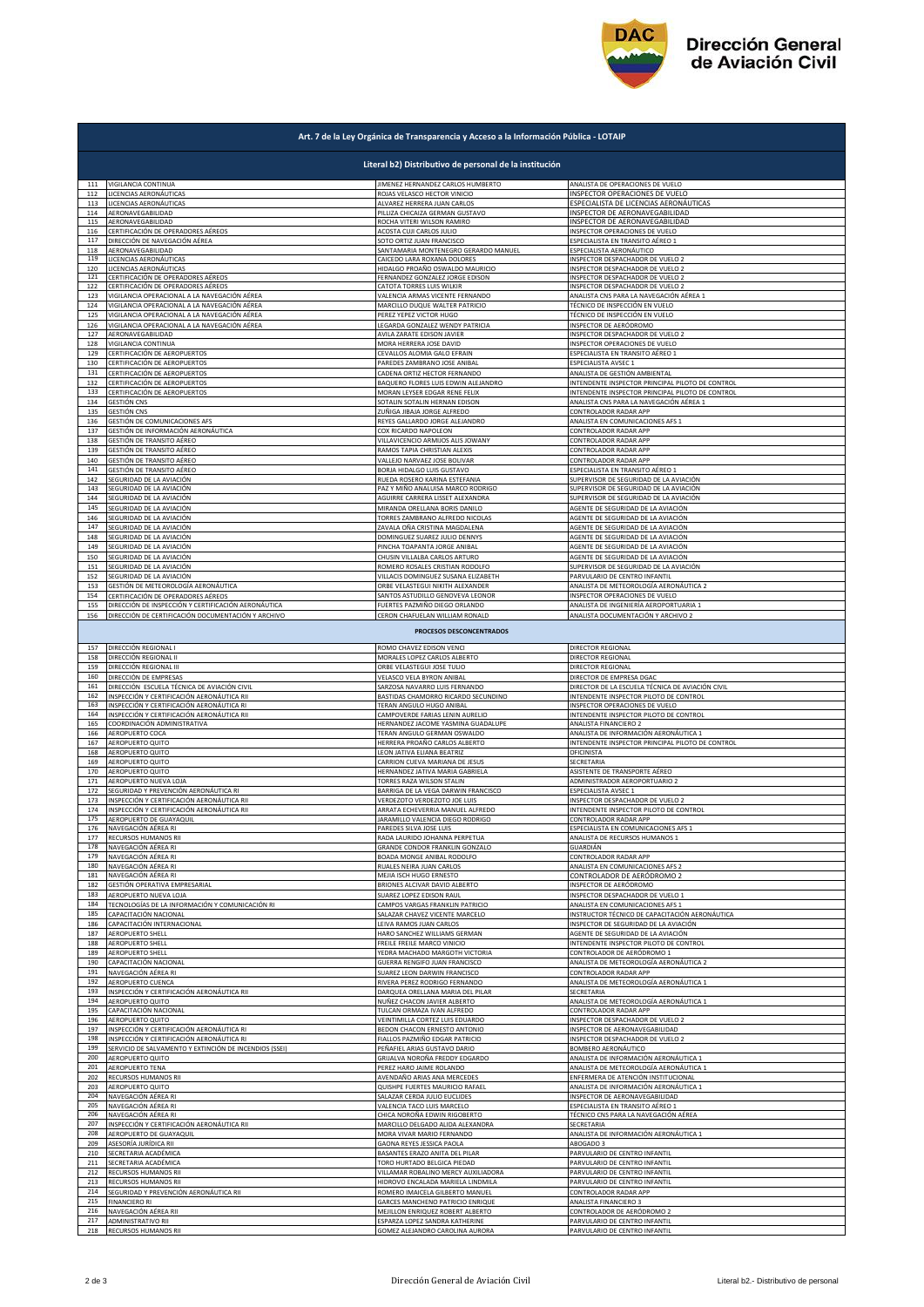

| Art. 7 de la Ley Orgánica de Transparencia y Acceso a la Información Pública - LOTAIP |                                                                                                     |                                                               |                                                                           |  |  |  |
|---------------------------------------------------------------------------------------|-----------------------------------------------------------------------------------------------------|---------------------------------------------------------------|---------------------------------------------------------------------------|--|--|--|
| Literal b2) Distributivo de personal de la institución                                |                                                                                                     |                                                               |                                                                           |  |  |  |
|                                                                                       | 111 VIGILANCIA CONTINUA                                                                             | JIMENEZ HERNANDEZ CARLOS HUMBERTO                             | ANALISTA DE OPERACIONES DE VUELO                                          |  |  |  |
| 112                                                                                   | LICENCIAS AERONÁUTICAS                                                                              | ROJAS VELASCO HECTOR VINICIO                                  | INSPECTOR OPERACIONES DE VUELO                                            |  |  |  |
| 113                                                                                   | LICENCIAS AERONÁUTICAS                                                                              | ALVAREZ HERRERA JUAN CARLOS                                   | ESPECIALISTA DE LICENCIAS AERONÁUTICAS                                    |  |  |  |
| 114<br>115                                                                            | AERONAVEGABILIDAD                                                                                   | PILLIZA CHICAIZA GERMAN GUSTAVO                               | INSPECTOR DE AERONAVEGABILIDAD                                            |  |  |  |
| 116                                                                                   | AERONAVEGABILIDAD                                                                                   | ROCHA VITERI WILSON RAMIRO                                    | INSPECTOR DE AERONAVEGABILIDAD                                            |  |  |  |
|                                                                                       | CERTIFICACIÓN DE OPERADORES AÉREOS                                                                  | ACOSTA CUJI CARLOS JULIO                                      | INSPECTOR OPERACIONES DE VUELO                                            |  |  |  |
| 117                                                                                   | DIRECCIÓN DE NAVEGACIÓN AÉREA                                                                       | SOTO ORTIZ JUAN FRANCISCO                                     | ESPECIALISTA EN TRANSITO AÉREO 1                                          |  |  |  |
| 118                                                                                   | AERONAVEGABILIDAD                                                                                   | SANTAMARIA MONTENEGRO GERARDO MANUEL                          | ESPECIALISTA AERONÁUTICO                                                  |  |  |  |
| 119                                                                                   | LICENCIAS AERONÁUTICAS                                                                              | CAICEDO LARA ROXANA DOLORES                                   | INSPECTOR DESPACHADOR DE VUELO 2                                          |  |  |  |
| 120                                                                                   | LICENCIAS AERONÁUTICAS                                                                              | HIDALGO PROAÑO OSWALDO MAURICIO                               | INSPECTOR DESPACHADOR DE VUELO 2                                          |  |  |  |
| 121                                                                                   | CERTIFICACIÓN DE OPERADORES AÉREOS                                                                  | FERNANDEZ GONZALEZ JORGE EDISON                               | INSPECTOR DESPACHADOR DE VUELO 2                                          |  |  |  |
| 122                                                                                   | CERTIFICACIÓN DE OPERADORES AÉREOS                                                                  | CATOTA TORRES LUIS WILKIR                                     | NSPECTOR DESPACHADOR DE VUELO 2                                           |  |  |  |
| 123                                                                                   | VIGILANCIA OPERACIONAL A LA NAVEGACIÓN AÉREA                                                        | VALENCIA ARMAS VICENTE FERNANDO                               | ANALISTA CNS PARA LA NAVEGACIÓN AÉREA 1                                   |  |  |  |
| 124                                                                                   | VIGILANCIA OPERACIONAL A LA NAVEGACIÓN AÉREA                                                        | MARCILLO DUQUE WALTER PATRICIO                                | TÉCNICO DE INSPECCIÓN EN VUELO                                            |  |  |  |
| 125                                                                                   | VIGILANCIA OPERACIONAL A LA NAVEGACIÓN AÉREA                                                        | PEREZ YEPEZ VICTOR HUGO                                       | TÉCNICO DE INSPECCIÓN EN VUELO                                            |  |  |  |
| 126                                                                                   | VIGILANCIA OPERACIONAL A LA NAVEGACIÓN AÉREA                                                        | LEGARDA GONZALEZ WENDY PATRICIA                               | INSPECTOR DE AERÓDROMO                                                    |  |  |  |
| 127                                                                                   | AERONAVEGABILIDAD                                                                                   | AVILA ZARATE EDISON JAVIER                                    | INSPECTOR DESPACHADOR DE VUELO 2                                          |  |  |  |
| 128                                                                                   | VIGILANCIA CONTINUA                                                                                 | MORA HERRERA JOSE DAVID                                       | <b>NSPECTOR OPERACIONES DE VUELO</b>                                      |  |  |  |
| 129                                                                                   | CERTIFICACIÓN DE AEROPUERTOS                                                                        | CEVALLOS ALOMIA GALO EFRAIN                                   | <b>ESPECIALISTA EN TRANSITO AÉREO 1</b>                                   |  |  |  |
| 130                                                                                   | CERTIFICACIÓN DE AEROPUERTOS                                                                        | PAREDES ZAMBRANO JOSE ANIBAL                                  | ESPECIALISTA AVSEC 1                                                      |  |  |  |
| 131                                                                                   | CERTIFICACIÓN DE AEROPUERTOS                                                                        | CADENA ORTIZ HECTOR FERNANDO                                  | ANALISTA DE GESTIÓN AMBIENTAL                                             |  |  |  |
| 132                                                                                   | CERTIFICACIÓN DE AEROPUERTOS                                                                        | BAQUERO FLORES LUIS EDWIN ALEJANDRO                           | INTENDENTE INSPECTOR PRINCIPAL PILOTO DE CONTROL                          |  |  |  |
| 133                                                                                   | CERTIFICACIÓN DE AEROPUERTOS                                                                        | MORAN LEYSER EDGAR RENE FELIX                                 | INTENDENTE INSPECTOR PRINCIPAL PILOTO DE CONTROL                          |  |  |  |
| 134                                                                                   | <b>GESTIÓN CNS</b>                                                                                  | SOTALIN SOTALIN HERNAN EDISON                                 | ANALISTA CNS PARA LA NAVEGACIÓN AÉREA 1                                   |  |  |  |
| 135                                                                                   | <b>GESTIÓN CNS</b>                                                                                  | ZUÑIGA JIBAJA JORGE ALFREDO                                   | CONTROLADOR RADAR APP                                                     |  |  |  |
| 136                                                                                   | GESTIÓN DE COMUNICACIONES AFS                                                                       | REYES GALLARDO JORGE ALEJANDRO                                | ANALISTA EN COMUNICACIONES AFS 1                                          |  |  |  |
| 137                                                                                   | GESTIÓN DE INFORMACIÓN AERONÁUTICA                                                                  | COX RICARDO NAPOLEON                                          | CONTROLADOR RADAR APP                                                     |  |  |  |
| 138                                                                                   | GESTIÓN DE TRANSITO AÉREO                                                                           | VILLAVICENCIO ARMIJOS ALIS JOWANY                             | CONTROLADOR RADAR APP                                                     |  |  |  |
| 139                                                                                   | GESTIÓN DE TRANSITO AÉREO                                                                           | RAMOS TAPIA CHRISTIAN ALEXIS                                  | CONTROLADOR RADAR APP                                                     |  |  |  |
| 140                                                                                   | GESTIÓN DE TRANSITO AÉREO                                                                           | VALLEJO NARVAEZ JOSE BOLIVAR                                  | CONTROLADOR RADAR APP                                                     |  |  |  |
| 141                                                                                   | GESTIÓN DE TRANSITO AÉREO                                                                           | BORJA HIDALGO LUIS GUSTAVO                                    | SPECIALISTA EN TRANSITO AÉREO 1<br>SUPERVISOR DE SEGURIDAD DE LA AVIACIÓN |  |  |  |
| 142                                                                                   | SEGURIDAD DE LA AVIACIÓN                                                                            | RUEDA ROSERO KARINA ESTEFANIA                                 | SUPERVISOR DE SEGURIDAD DE LA AVIACIÓN                                    |  |  |  |
| 143                                                                                   | SEGURIDAD DE LA AVIACIÓN                                                                            | PAZ Y MIÑO ANALUISA MARCO RODRIGO                             |                                                                           |  |  |  |
| 144                                                                                   | SEGURIDAD DE LA AVIACIÓN                                                                            | AGUIRRE CARRERA LISSET ALEXANDRA                              | SUPERVISOR DE SEGURIDAD DE LA AVIACIÓN                                    |  |  |  |
| 145                                                                                   | SEGURIDAD DE LA AVIACIÓN                                                                            | MIRANDA ORELLANA BORIS DANILO                                 | AGENTE DE SEGURIDAD DE LA AVIACIÓN                                        |  |  |  |
| 146                                                                                   | SEGURIDAD DE LA AVIACIÓN                                                                            | TORRES ZAMBRANO ALFREDO NICOLAS                               | AGENTE DE SEGURIDAD DE LA AVIACIÓN                                        |  |  |  |
| 147                                                                                   | SEGURIDAD DE LA AVIACIÓN                                                                            | ZAVALA OÑA CRISTINA MAGDALENA                                 | AGENTE DE SEGURIDAD DE LA AVIACIÓN                                        |  |  |  |
| 148                                                                                   | SEGURIDAD DE LA AVIACIÓN                                                                            | DOMINGUEZ SUAREZ JULIO DENNYS                                 | AGENTE DE SEGURIDAD DE LA AVIACIÓN                                        |  |  |  |
| 149                                                                                   | SEGURIDAD DE LA AVIACIÓN                                                                            | PINCHA TOAPANTA JORGE ANIBAL                                  | AGENTE DE SEGURIDAD DE LA AVIACIÓN                                        |  |  |  |
| 150                                                                                   | SEGURIDAD DE LA AVIACIÓN                                                                            | CHUSIN VILLALBA CARLOS ARTURO                                 | AGENTE DE SEGURIDAD DE LA AVIACIÓN                                        |  |  |  |
| 151                                                                                   | SEGURIDAD DE LA AVIACIÓN                                                                            | ROMERO ROSALES CRISTIAN RODOLFO                               | SUPERVISOR DE SEGURIDAD DE LA AVIACIÓN                                    |  |  |  |
| 152                                                                                   | SEGURIDAD DE LA AVIACIÓN                                                                            | VILLACIS DOMINGUEZ SUSANA ELIZABETH                           | PARVULARIO DE CENTRO INFANTIL                                             |  |  |  |
| 153                                                                                   | GESTIÓN DE METEOROLOGÍA AERONÁUTICA                                                                 | ORBE VELASTEGUI NIKITH ALEXANDER                              | ANALISTA DE METEOROLOGÍA AERONÁUTICA 2                                    |  |  |  |
| 154                                                                                   | CERTIFICACIÓN DE OPERADORES AÉREOS                                                                  | SANTOS ASTUDILLO GENOVEVA LEONOR                              | INSPECTOR OPERACIONES DE VUELO                                            |  |  |  |
| 155                                                                                   | DIRECCIÓN DE INSPECCIÓN Y CERTIFICACIÓN AERONÁUTICA                                                 | FUERTES PAZMIÑO DIEGO ORLANDO                                 | ANALISTA DE INGENIERÍA AEROPORTUARIA 1                                    |  |  |  |
| 156                                                                                   | DIRECCIÓN DE CERTIFICACIÓN DOCUMENTACIÓN Y ARCHIVO                                                  | CERON CHAFUELAN WILLIAM RONALD                                | ANALISTA DOCUMENTACIÓN Y ARCHIVO 2                                        |  |  |  |
|                                                                                       |                                                                                                     | PROCESOS DESCONCENTRADOS                                      |                                                                           |  |  |  |
| 157                                                                                   | DIRECCIÓN REGIONAL I                                                                                | ROMO CHAVEZ EDISON VENCI                                      | DIRECTOR REGIONAL                                                         |  |  |  |
| 158                                                                                   | DIRECCIÓN REGIONAL II                                                                               | MORALES LOPEZ CARLOS ALBERTO                                  | DIRECTOR REGIONAL                                                         |  |  |  |
| 159                                                                                   | DIRECCIÓN REGIONAL III                                                                              | ORBE VELASTEGUI JOSE TULIO                                    | DIRECTOR REGIONAL                                                         |  |  |  |
| 160                                                                                   | DIRECCIÓN DE EMPRESAS                                                                               | VELASCO VELA BYRON ANIBAL                                     | DIRECTOR DE EMPRESA DGAC                                                  |  |  |  |
| 161                                                                                   | DIRECCIÓN ESCUELA TÉCNICA DE AVIACIÓN CIVIL                                                         | SARZOSA NAVARRO LUIS FERNANDO                                 | DIRECTOR DE LA ESCUELA TÉCNICA DE AVIACIÓN CIVIL                          |  |  |  |
|                                                                                       | INSPECCIÓN Y CERTIFICACIÓN AERONÁUTICA RII                                                          | BASTIDAS CHAMORRO RICARDO SECUNDINO                           | <b>INTENDENTE INSPECTOR PILOTO DE CONTROL</b>                             |  |  |  |
| 162<br>163                                                                            | INSPECCIÓN Y CERTIFICACIÓN AERONÁUTICA RI                                                           | TERAN ANGULO HUGO ANIBAL                                      | <b>NSPECTOR OPERACIONES DE VUELO</b>                                      |  |  |  |
| 164                                                                                   | INSPECCIÓN Y CERTIFICACIÓN AERONÁUTICA RII                                                          | CAMPOVERDE FARIAS LENIN AURELIO                               | <b>INTENDENTE INSPECTOR PILOTO DE CONTROL</b>                             |  |  |  |
| 165                                                                                   | COORDINACIÓN ADMINISTRATIVA                                                                         | HERNANDEZ JACOME YASMINA GUADALUPE                            | ANALISTA FINANCIERO 2                                                     |  |  |  |
| 166                                                                                   | AEROPUERTO COCA                                                                                     | TERAN ANGULO GERMAN OSWALDO                                   | ANALISTA DE INFORMACIÓN AERONÁUTICA 1                                     |  |  |  |
| 167                                                                                   | AEROPUERTO QUITO                                                                                    | HERRERA PROAÑO CARLOS ALBERTO                                 | INTENDENTE INSPECTOR PRINCIPAL PILOTO DE CONTROL                          |  |  |  |
| 168                                                                                   | AEROPUERTO QUITO                                                                                    | LEON JATIVA ELIANA BEATRIZ                                    | OFICINISTA                                                                |  |  |  |
| 169                                                                                   | AEROPUERTO QUITO                                                                                    | CARRION CUEVA MARIANA DE JESUS                                | SECRETARIA                                                                |  |  |  |
| 170                                                                                   | AEROPUERTO QUITO                                                                                    | HERNANDEZ JATIVA MARIA GABRIELA                               | ASISTENTE DE TRANSPORTE AÉREO                                             |  |  |  |
| 171                                                                                   | AEROPUERTO NUEVA LOJA                                                                               | TORRES RAZA WILSON STALIN                                     | ADMINISTRADOR AEROPORTUARIO 2                                             |  |  |  |
| 172                                                                                   | SEGURIDAD Y PREVENCIÓN AERONÁUTICA RI                                                               | BARRIGA DE LA VEGA DARWIN FRANCISCO                           | SPECIALISTA AVSEC 1                                                       |  |  |  |
| 173                                                                                   | INSPECCIÓN Y CERTIFICACIÓN AERONÁUTICA RII                                                          | VERDEZOTO VERDEZOTO JOE LUIS                                  | <b>NSPECTOR DESPACHADOR DE VUELO 2</b>                                    |  |  |  |
| 174                                                                                   | INSPECCIÓN Y CERTIFICACIÓN AERONÁUTICA RII                                                          | ARRATA ECHEVERRIA MANUEL ALFREDO                              | INTENDENTE INSPECTOR PILOTO DE CONTROL                                    |  |  |  |
| 175                                                                                   | AEROPUERTO DE GUAYAQUIL                                                                             | JARAMILLO VALENCIA DIEGO RODRIGO                              | CONTROLADOR RADAR APP                                                     |  |  |  |
| 176                                                                                   | NAVEGACIÓN AÉREA RI                                                                                 | PAREDES SILVA JOSE LUIS                                       | SPECIALISTA EN COMUNICACIONES AFS 1                                       |  |  |  |
| 177                                                                                   | RECURSOS HUMANOS RII                                                                                | RADA LAURIDO JOHANNA PERPETUA                                 | ANALISTA DE RECURSOS HUMANOS 1                                            |  |  |  |
| 178                                                                                   | NAVEGACIÓN AÉREA RI                                                                                 | GRANDE CONDOR FRANKLIN GONZALO                                | GUARDIÁN                                                                  |  |  |  |
| 179                                                                                   | NAVEGACIÓN AÉREA RI                                                                                 | BOADA MONGE ANIBAL RODOLFO                                    | CONTROLADOR RADAR APP                                                     |  |  |  |
| 180                                                                                   | NAVEGACIÓN AÉREA RI                                                                                 | RUALES NEIRA JUAN CARLOS                                      | ANALISTA EN COMUNICACIONES AFS 2                                          |  |  |  |
| 181                                                                                   | NAVEGACIÓN AÉREA RI                                                                                 | MEJIA ISCH HUGO ERNESTO                                       | CONTROLADOR DE AERÓDROMO 2                                                |  |  |  |
| 182                                                                                   | GESTIÓN OPERATIVA EMPRESARIAL                                                                       | BRIONES ALCIVAR DAVID ALBERTO                                 | INSPECTOR DE AERÓDROMO                                                    |  |  |  |
| 183                                                                                   | AEROPUERTO NUEVA LOJA                                                                               | SUAREZ LOPEZ EDISON RAUL                                      | INSPECTOR DESPACHADOR DE VUELO 1                                          |  |  |  |
| 184                                                                                   | TECNOLOGÍAS DE LA INFORMACIÓN Y COMUNICACIÓN RI                                                     | CAMPOS VARGAS FRANKLIN PATRICIO                               | ANALISTA EN COMUNICACIONES AFS 1                                          |  |  |  |
| 185                                                                                   | CAPACITACIÓN NACIONAL                                                                               | SALAZAR CHAVEZ VICENTE MARCELO                                | INSTRUCTOR TÉCNICO DE CAPACITACIÓN AERONÁUTICA                            |  |  |  |
| 186                                                                                   | CAPACITACIÓN INTERNACIONAL                                                                          | LEIVA RAMOS JUAN CARLOS                                       | INSPECTOR DE SEGURIDAD DE LA AVIACIÓN                                     |  |  |  |
| 187                                                                                   | AEROPUERTO SHELL                                                                                    | HARO SANCHEZ WILLIAMS GERMAN                                  | AGENTE DE SEGURIDAD DE LA AVIACIÓN                                        |  |  |  |
| 188                                                                                   | AEROPUERTO SHELL                                                                                    | FREILE FREILE MARCO VINICIO                                   | INTENDENTE INSPECTOR PILOTO DE CONTROL                                    |  |  |  |
| 189                                                                                   | AEROPUERTO SHELL                                                                                    | YEDRA MACHADO MARGOTH VICTORIA                                | CONTROLADOR DE AERÓDROMO 1                                                |  |  |  |
| 190<br>191                                                                            | CAPACITACIÓN NACIONAL<br>NAVEGACIÓN AÉREA RI                                                        | GUERRA RENGIFO JUAN FRANCISCO                                 | ANALISTA DE METEOROLOGÍA AERONÁUTICA 2                                    |  |  |  |
| 192                                                                                   | AEROPUERTO CUENCA                                                                                   | SUAREZ LEON DARWIN FRANCISCO<br>RIVERA PEREZ RODRIGO FERNANDO | CONTROLADOR RADAR APP<br>ANALISTA DE METEOROLOGÍA AERONÁUTICA 1           |  |  |  |
| 193                                                                                   | INSPECCIÓN Y CERTIFICACIÓN AERONÁUTICA RII                                                          | DARQUEA ORELLANA MARIA DEL PILAR                              | SECRETARIA                                                                |  |  |  |
| 194                                                                                   | AEROPUERTO QUITO                                                                                    | NUÑEZ CHACON JAVIER ALBERTO                                   | ANALISTA DE METEOROLOGÍA AERONÁUTICA 1                                    |  |  |  |
| 195                                                                                   | CAPACITACIÓN NACIONAL                                                                               | TULCAN ORMAZA IVAN ALFREDO                                    | CONTROLADOR RADAR APP                                                     |  |  |  |
| 196                                                                                   | AEROPUERTO QUITO                                                                                    | VEINTIMILLA CORTEZ LUIS EDUARDO                               | INSPECTOR DESPACHADOR DE VUELO 2                                          |  |  |  |
| 197                                                                                   | INSPECCIÓN Y CERTIFICACIÓN AERONÁUTICA RI                                                           | BEDON CHACON ERNESTO ANTONIO                                  | INSPECTOR DE AERONAVEGABILIDAD                                            |  |  |  |
| 198                                                                                   | INSPECCIÓN Y CERTIFICACIÓN AERONÁUTICA RI<br>SERVICIO DE SALVAMENTO Y EXTINCIÓN DE INCENDIOS (SSEI) | FIALLOS PAZMIÑO EDGAR PATRICIO                                | INSPECTOR DESPACHADOR DE VUELO 2                                          |  |  |  |
| 199                                                                                   | AEROPUERTO QUITO                                                                                    | PEÑAFIEL ARIAS GUSTAVO DARIO                                  | BOMBERO AERONÁUTICO                                                       |  |  |  |
| 200                                                                                   |                                                                                                     | GRIJALVA NOROÑA FREDDY EDGARDO                                | ANALISTA DE INFORMACIÓN AERONÁUTICA 1                                     |  |  |  |
| 201                                                                                   | AEROPUERTO TENA                                                                                     | PEREZ HARO JAIME ROLANDO                                      | ANALISTA DE METEOROLOGÍA AERONÁUTICA 1                                    |  |  |  |
| 202                                                                                   | RECURSOS HUMANOS RII                                                                                | AVENDAÑO ARIAS ANA MERCEDES                                   | ENFERMERA DE ATENCIÓN INSTITUCIONAL                                       |  |  |  |
| 203                                                                                   | AEROPUERTO QUITO                                                                                    | QUISHPE FUERTES MAURICIO RAFAEL                               | ANALISTA DE INFORMACIÓN AERONÁUTICA 1                                     |  |  |  |
| 204                                                                                   | NAVEGACIÓN AÉREA RI                                                                                 | SALAZAR CERDA JULIO EUCLIDES                                  | <b>NSPECTOR DE AERONAVEGABILIDAD</b>                                      |  |  |  |
| 205                                                                                   | NAVEGACIÓN AÉREA RI                                                                                 | VALENCIA TACO LUIS MARCELO                                    | SPECIALISTA EN TRANSITO AÉREO 1                                           |  |  |  |
| 206                                                                                   | NAVEGACIÓN AÉREA RI                                                                                 | CHICA NOROÑA EDWIN RIGOBERTO                                  | FÉCNICO CNS PARA LA NAVEGACIÓN AÉREA                                      |  |  |  |
| 207                                                                                   | INSPECCIÓN Y CERTIFICACIÓN AERONÁUTICA RII                                                          | MARCILLO DELGADO ALIDA ALEXANDRA                              | SECRETARIA                                                                |  |  |  |
| 208                                                                                   | AEROPUERTO DE GUAYAQUIL                                                                             | MORA VIVAR MARIO FERNANDO                                     | ANALISTA DE INFORMACIÓN AERONÁUTICA 1                                     |  |  |  |
| 209                                                                                   | ASESORÍA JURÍDICA RII                                                                               | GAONA REYES JESSICA PAOLA                                     | ABOGADO 3                                                                 |  |  |  |
| 210                                                                                   | SECRETARIA ACADÉMICA                                                                                | BASANTES ERAZO ANITA DEL PILAR                                | PARVULARIO DE CENTRO INFANTIL                                             |  |  |  |
| 211                                                                                   | SECRETARIA ACADÉMICA                                                                                | TORO HURTADO BELGICA PIEDAD                                   | PARVULARIO DE CENTRO INFANTIL                                             |  |  |  |
| 212                                                                                   | RECURSOS HUMANOS RII                                                                                | VILLAMAR ROBALINO MERCY AUXILIADORA                           | PARVULARIO DE CENTRO INFANTIL                                             |  |  |  |
| 213                                                                                   | RECURSOS HUMANOS RII                                                                                | HIDROVO ENCALADA MARIELA LINDMILA                             | PARVULARIO DE CENTRO INFANTIL                                             |  |  |  |
| 214<br>215                                                                            | SEGURIDAD Y PREVENCIÓN AERONÁUTICA RII                                                              | ROMERO IMAICELA GILBERTO MANUEL                               | CONTROLADOR RADAR APP                                                     |  |  |  |
| 216                                                                                   | <b>FINANCIERO RI</b>                                                                                | GARCES MANCHENO PATRICIO ENRIQUE                              | ANALISTA FINANCIERO 3                                                     |  |  |  |
|                                                                                       | NAVEGACIÓN AÉREA RII                                                                                | MEJILLON ENRIQUEZ ROBERT ALBERTO                              | CONTROLADOR DE AERÓDROMO 2                                                |  |  |  |
| 217                                                                                   | ADMINISTRATIVO RII                                                                                  | ESPARZA LOPEZ SANDRA KATHERINE                                | PARVULARIO DE CENTRO INFANTIL                                             |  |  |  |
| 218                                                                                   | RECURSOS HUMANOS RII                                                                                | GOMEZ ALEJANDRO CAROLINA AURORA                               | PARVULARIO DE CENTRO INFANTIL                                             |  |  |  |
|                                                                                       |                                                                                                     |                                                               |                                                                           |  |  |  |